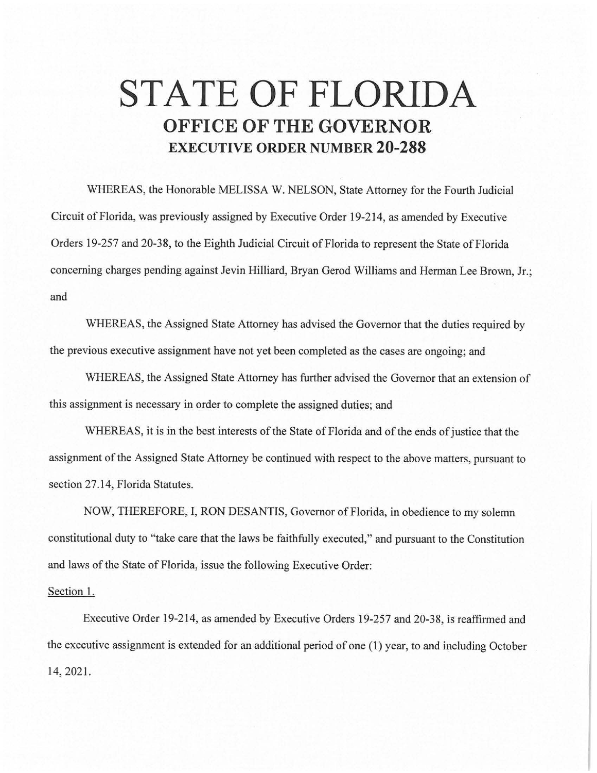## **STATE OF FLORIDA OFFICE OF THE GOVERNOR EXECUTIVE ORDER NUMBER 20-288**

WHEREAS, the Honorable MELISSA W. NELSON, State Attorney for the Fourth Judicial Circuit of Florida, was previously assigned by Executive Order 19-214, as amended by Executive Orders 19-257 and 20-38, to the Eighth Judicial Circuit of Florida to represent the State of Florida concerning charges pending against Jevin Hilliard, Bryan Gerod Williams and Herman Lee Brown, Jr.; and

WHEREAS, the Assigned State Attorney has advised the Governor that the duties required by the previous executive assignment have not yet been completed as the cases are ongoing; and

WHEREAS, the Assigned State Attorney has further advised the Governor that an extension of this assignment is necessary in order to complete the assigned duties; and

WHEREAS, it is in the best interests of the State of Florida and of the ends of justice that the assignment of the Assigned State Attorney be continued with respect to the above matters, pursuant to section 27.14, Florida Statutes.

NOW, THEREFORE, I, RON DESANTIS, Governor of Florida, in obedience to my solemn constitutional duty to "take care that the laws be faithfully executed," and pursuant to the Constitution and laws of the State of Florida, issue the following Executive Order:

## Section 1.

Executive Order 19-214, as amended by Executive Orders 19-257 and 20-38, is reaffirmed and the executive assignment is extended for an additional period of one (1) year, to and including October 14, 2021.